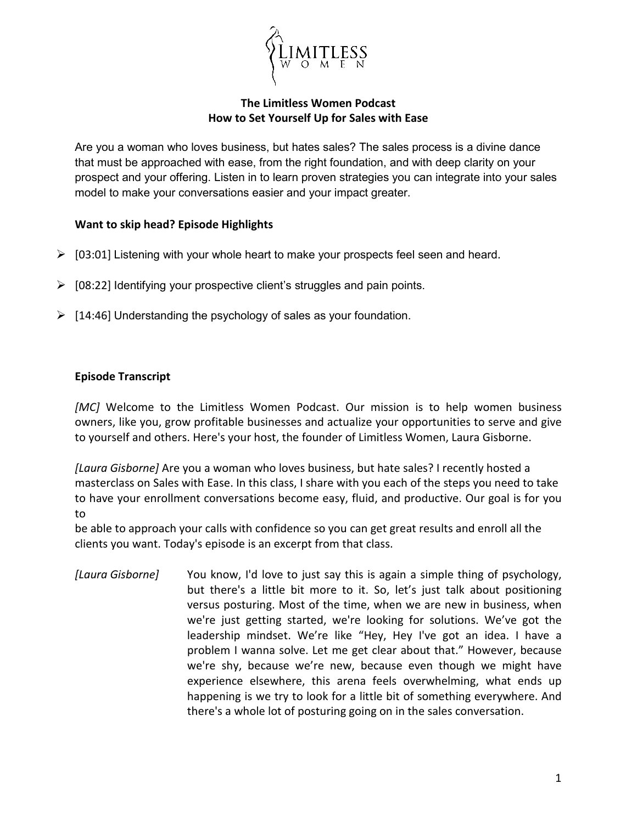

## **The Limitless Women Podcast How to Set Yourself Up for Sales with Ease**

Are you a woman who loves business, but hates sales? The sales process is a divine dance that must be approached with ease, from the right foundation, and with deep clarity on your prospect and your offering. Listen in to learn proven strategies you can integrate into your sales model to make your conversations easier and your impact greater.

## **Want to skip head? Episode Highlights**

- $\triangleright$  [03:01] Listening with your whole heart to make your prospects feel seen and heard.
- $\triangleright$  [08:22] Identifying your prospective client's struggles and pain points.
- $\triangleright$  [14:46] Understanding the psychology of sales as your foundation.

## **Episode Transcript**

*[MC]* Welcome to the Limitless Women Podcast. Our mission is to help women business owners, like you, grow profitable businesses and actualize your opportunities to serve and give to yourself and others. Here's your host, the founder of Limitless Women, Laura Gisborne.

*[Laura Gisborne]* Are you a woman who loves business, but hate sales? I recently hosted a masterclass on Sales with Ease. In this class, I share with you each of the steps you need to take to have your enrollment conversations become easy, fluid, and productive. Our goal is for you to

be able to approach your calls with confidence so you can get great results and enroll all the clients you want. Today's episode is an excerpt from that class.

*[Laura Gisborne]* You know, I'd love to just say this is again a simple thing of psychology, but there's a little bit more to it. So, let's just talk about positioning versus posturing. Most of the time, when we are new in business, when we're just getting started, we're looking for solutions. We've got the leadership mindset. We're like "Hey, Hey I've got an idea. I have a problem I wanna solve. Let me get clear about that." However, because we're shy, because we're new, because even though we might have experience elsewhere, this arena feels overwhelming, what ends up happening is we try to look for a little bit of something everywhere. And there's a whole lot of posturing going on in the sales conversation.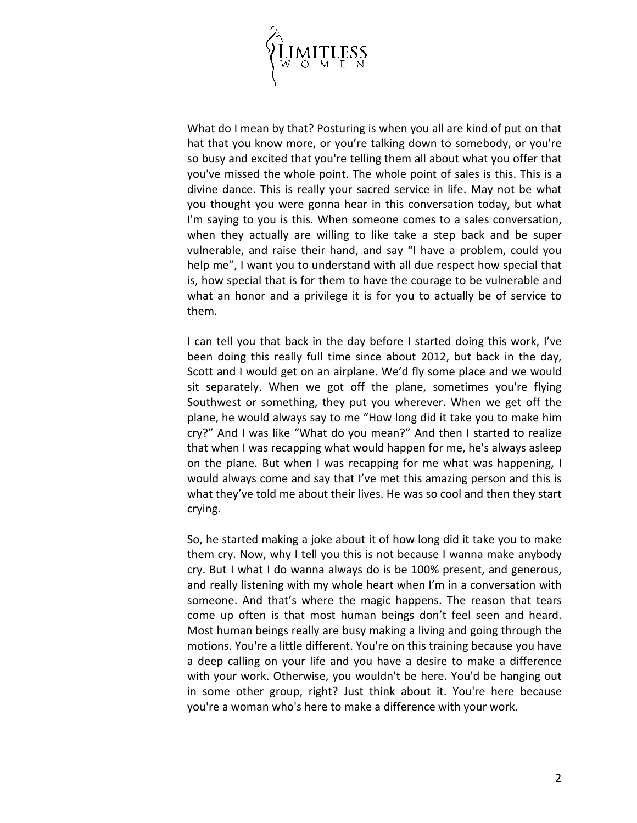

What do I mean by that? Posturing is when you all are kind of put on that hat that you know more, or you're talking down to somebody, or you're so busy and excited that you're telling them all about what you offer that you've missed the whole point. The whole point of sales is this. This is a divine dance. This is really your sacred service in life. May not be what you thought you were gonna hear in this conversation today, but what I'm saying to you is this. When someone comes to a sales conversation, when they actually are willing to like take a step back and be super vulnerable, and raise their hand, and say "I have a problem, could you help me", I want you to understand with all due respect how special that is, how special that is for them to have the courage to be vulnerable and what an honor and a privilege it is for you to actually be of service to them.

I can tell you that back in the day before I started doing this work, I've been doing this really full time since about 2012, but back in the day, Scott and I would get on an airplane. We'd fly some place and we would sit separately. When we got off the plane, sometimes you're flying Southwest or something, they put you wherever. When we get off the plane, he would always say to me "How long did it take you to make him cry?" And I was like "What do you mean?" And then I started to realize that when I was recapping what would happen for me, he's always asleep on the plane. But when I was recapping for me what was happening, I would always come and say that I've met this amazing person and this is what they've told me about their lives. He was so cool and then they start crying.

So, he started making a joke about it of how long did it take you to make them cry. Now, why I tell you this is not because I wanna make anybody cry. But I what I do wanna always do is be 100% present, and generous, and really listening with my whole heart when I'm in a conversation with someone. And that's where the magic happens. The reason that tears come up often is that most human beings don't feel seen and heard. Most human beings really are busy making a living and going through the motions. You're a little different. You're on this training because you have a deep calling on your life and you have a desire to make a difference with your work. Otherwise, you wouldn't be here. You'd be hanging out in some other group, right? Just think about it. You're here because you're a woman who's here to make a difference with your work.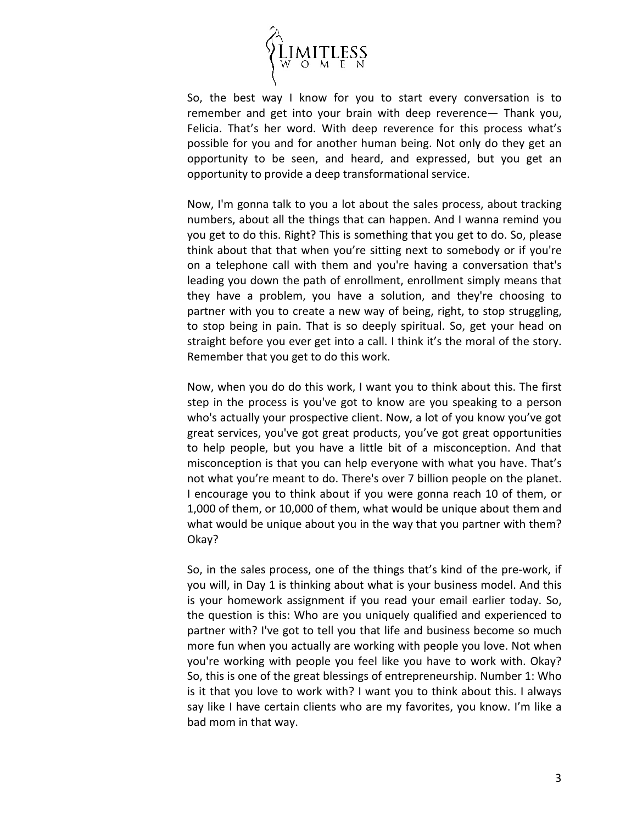

So, the best way I know for you to start every conversation is to remember and get into your brain with deep reverence— Thank you, Felicia. That's her word. With deep reverence for this process what's possible for you and for another human being. Not only do they get an opportunity to be seen, and heard, and expressed, but you get an opportunity to provide a deep transformational service.

Now, I'm gonna talk to you a lot about the sales process, about tracking numbers, about all the things that can happen. And I wanna remind you you get to do this. Right? This is something that you get to do. So, please think about that that when you're sitting next to somebody or if you're on a telephone call with them and you're having a conversation that's leading you down the path of enrollment, enrollment simply means that they have a problem, you have a solution, and they're choosing to partner with you to create a new way of being, right, to stop struggling, to stop being in pain. That is so deeply spiritual. So, get your head on straight before you ever get into a call. I think it's the moral of the story. Remember that you get to do this work.

Now, when you do do this work, I want you to think about this. The first step in the process is you've got to know are you speaking to a person who's actually your prospective client. Now, a lot of you know you've got great services, you've got great products, you've got great opportunities to help people, but you have a little bit of a misconception. And that misconception is that you can help everyone with what you have. That's not what you're meant to do. There's over 7 billion people on the planet. I encourage you to think about if you were gonna reach 10 of them, or 1,000 of them, or 10,000 of them, what would be unique about them and what would be unique about you in the way that you partner with them? Okay?

So, in the sales process, one of the things that's kind of the pre-work, if you will, in Day 1 is thinking about what is your business model. And this is your homework assignment if you read your email earlier today. So, the question is this: Who are you uniquely qualified and experienced to partner with? I've got to tell you that life and business become so much more fun when you actually are working with people you love. Not when you're working with people you feel like you have to work with. Okay? So, this is one of the great blessings of entrepreneurship. Number 1: Who is it that you love to work with? I want you to think about this. I always say like I have certain clients who are my favorites, you know. I'm like a bad mom in that way.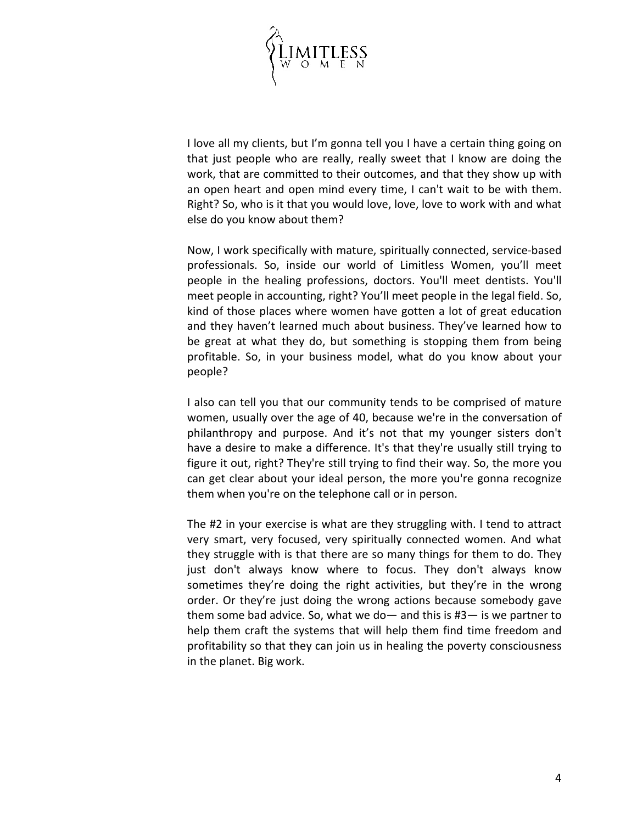

I love all my clients, but I'm gonna tell you I have a certain thing going on that just people who are really, really sweet that I know are doing the work, that are committed to their outcomes, and that they show up with an open heart and open mind every time, I can't wait to be with them. Right? So, who is it that you would love, love, love to work with and what else do you know about them?

Now, I work specifically with mature, spiritually connected, service-based professionals. So, inside our world of Limitless Women, you'll meet people in the healing professions, doctors. You'll meet dentists. You'll meet people in accounting, right? You'll meet people in the legal field. So, kind of those places where women have gotten a lot of great education and they haven't learned much about business. They've learned how to be great at what they do, but something is stopping them from being profitable. So, in your business model, what do you know about your people?

I also can tell you that our community tends to be comprised of mature women, usually over the age of 40, because we're in the conversation of philanthropy and purpose. And it's not that my younger sisters don't have a desire to make a difference. It's that they're usually still trying to figure it out, right? They're still trying to find their way. So, the more you can get clear about your ideal person, the more you're gonna recognize them when you're on the telephone call or in person.

The #2 in your exercise is what are they struggling with. I tend to attract very smart, very focused, very spiritually connected women. And what they struggle with is that there are so many things for them to do. They just don't always know where to focus. They don't always know sometimes they're doing the right activities, but they're in the wrong order. Or they're just doing the wrong actions because somebody gave them some bad advice. So, what we do— and this is #3— is we partner to help them craft the systems that will help them find time freedom and profitability so that they can join us in healing the poverty consciousness in the planet. Big work.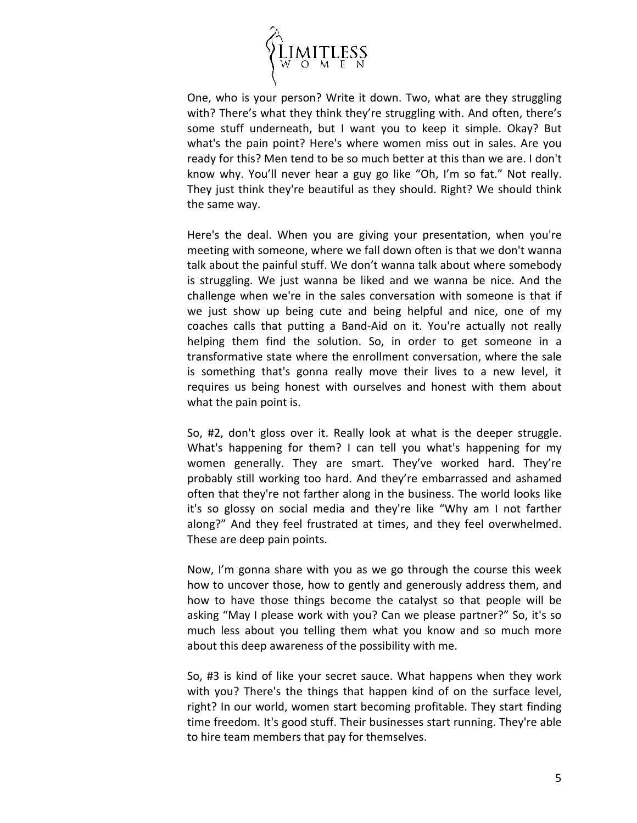

One, who is your person? Write it down. Two, what are they struggling with? There's what they think they're struggling with. And often, there's some stuff underneath, but I want you to keep it simple. Okay? But what's the pain point? Here's where women miss out in sales. Are you ready for this? Men tend to be so much better at this than we are. I don't know why. You'll never hear a guy go like "Oh, I'm so fat." Not really. They just think they're beautiful as they should. Right? We should think the same way.

Here's the deal. When you are giving your presentation, when you're meeting with someone, where we fall down often is that we don't wanna talk about the painful stuff. We don't wanna talk about where somebody is struggling. We just wanna be liked and we wanna be nice. And the challenge when we're in the sales conversation with someone is that if we just show up being cute and being helpful and nice, one of my coaches calls that putting a Band-Aid on it. You're actually not really helping them find the solution. So, in order to get someone in a transformative state where the enrollment conversation, where the sale is something that's gonna really move their lives to a new level, it requires us being honest with ourselves and honest with them about what the pain point is.

So, #2, don't gloss over it. Really look at what is the deeper struggle. What's happening for them? I can tell you what's happening for my women generally. They are smart. They've worked hard. They're probably still working too hard. And they're embarrassed and ashamed often that they're not farther along in the business. The world looks like it's so glossy on social media and they're like "Why am I not farther along?" And they feel frustrated at times, and they feel overwhelmed. These are deep pain points.

Now, I'm gonna share with you as we go through the course this week how to uncover those, how to gently and generously address them, and how to have those things become the catalyst so that people will be asking "May I please work with you? Can we please partner?" So, it's so much less about you telling them what you know and so much more about this deep awareness of the possibility with me.

So, #3 is kind of like your secret sauce. What happens when they work with you? There's the things that happen kind of on the surface level, right? In our world, women start becoming profitable. They start finding time freedom. It's good stuff. Their businesses start running. They're able to hire team members that pay for themselves.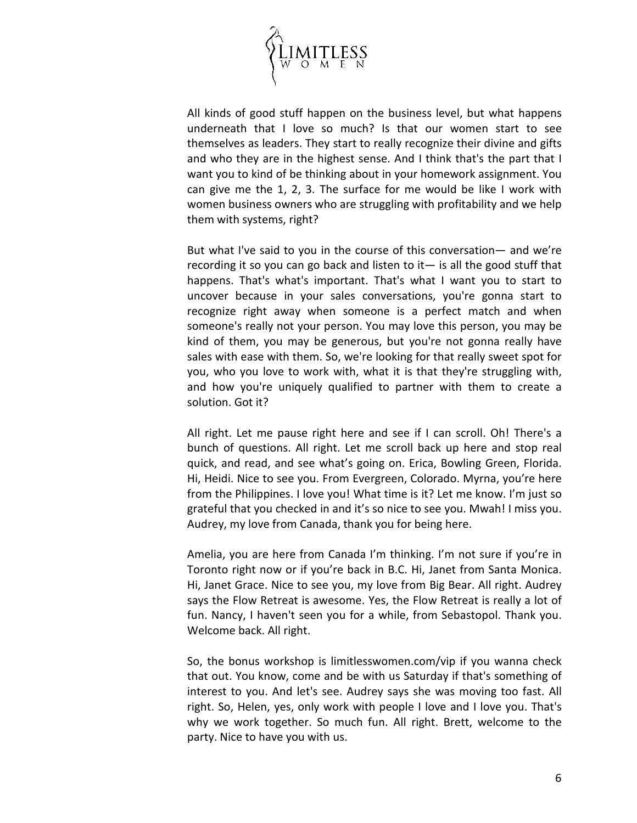

All kinds of good stuff happen on the business level, but what happens underneath that I love so much? Is that our women start to see themselves as leaders. They start to really recognize their divine and gifts and who they are in the highest sense. And I think that's the part that I want you to kind of be thinking about in your homework assignment. You can give me the 1, 2, 3. The surface for me would be like I work with women business owners who are struggling with profitability and we help them with systems, right?

But what I've said to you in the course of this conversation— and we're recording it so you can go back and listen to it— is all the good stuff that happens. That's what's important. That's what I want you to start to uncover because in your sales conversations, you're gonna start to recognize right away when someone is a perfect match and when someone's really not your person. You may love this person, you may be kind of them, you may be generous, but you're not gonna really have sales with ease with them. So, we're looking for that really sweet spot for you, who you love to work with, what it is that they're struggling with, and how you're uniquely qualified to partner with them to create a solution. Got it?

All right. Let me pause right here and see if I can scroll. Oh! There's a bunch of questions. All right. Let me scroll back up here and stop real quick, and read, and see what's going on. Erica, Bowling Green, Florida. Hi, Heidi. Nice to see you. From Evergreen, Colorado. Myrna, you're here from the Philippines. I love you! What time is it? Let me know. I'm just so grateful that you checked in and it's so nice to see you. Mwah! I miss you. Audrey, my love from Canada, thank you for being here.

Amelia, you are here from Canada I'm thinking. I'm not sure if you're in Toronto right now or if you're back in B.C. Hi, Janet from Santa Monica. Hi, Janet Grace. Nice to see you, my love from Big Bear. All right. Audrey says the Flow Retreat is awesome. Yes, the Flow Retreat is really a lot of fun. Nancy, I haven't seen you for a while, from Sebastopol. Thank you. Welcome back. All right.

So, the bonus workshop is limitlesswomen.com/vip if you wanna check that out. You know, come and be with us Saturday if that's something of interest to you. And let's see. Audrey says she was moving too fast. All right. So, Helen, yes, only work with people I love and I love you. That's why we work together. So much fun. All right. Brett, welcome to the party. Nice to have you with us.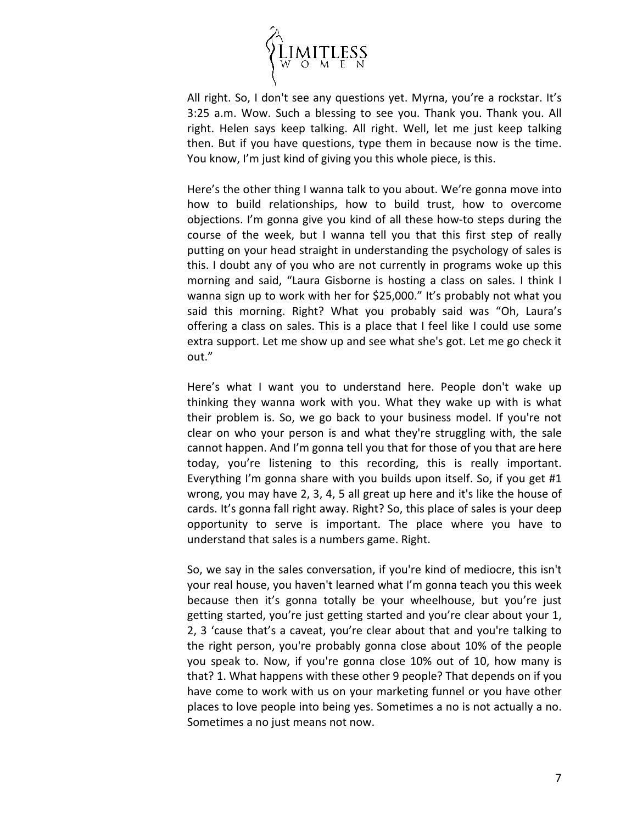

All right. So, I don't see any questions yet. Myrna, you're a rockstar. It's 3:25 a.m. Wow. Such a blessing to see you. Thank you. Thank you. All right. Helen says keep talking. All right. Well, let me just keep talking then. But if you have questions, type them in because now is the time. You know, I'm just kind of giving you this whole piece, is this.

Here's the other thing I wanna talk to you about. We're gonna move into how to build relationships, how to build trust, how to overcome objections. I'm gonna give you kind of all these how-to steps during the course of the week, but I wanna tell you that this first step of really putting on your head straight in understanding the psychology of sales is this. I doubt any of you who are not currently in programs woke up this morning and said, "Laura Gisborne is hosting a class on sales. I think I wanna sign up to work with her for \$25,000." It's probably not what you said this morning. Right? What you probably said was "Oh, Laura's offering a class on sales. This is a place that I feel like I could use some extra support. Let me show up and see what she's got. Let me go check it out."

Here's what I want you to understand here. People don't wake up thinking they wanna work with you. What they wake up with is what their problem is. So, we go back to your business model. If you're not clear on who your person is and what they're struggling with, the sale cannot happen. And I'm gonna tell you that for those of you that are here today, you're listening to this recording, this is really important. Everything I'm gonna share with you builds upon itself. So, if you get #1 wrong, you may have 2, 3, 4, 5 all great up here and it's like the house of cards. It's gonna fall right away. Right? So, this place of sales is your deep opportunity to serve is important. The place where you have to understand that sales is a numbers game. Right.

So, we say in the sales conversation, if you're kind of mediocre, this isn't your real house, you haven't learned what I'm gonna teach you this week because then it's gonna totally be your wheelhouse, but you're just getting started, you're just getting started and you're clear about your 1, 2, 3 'cause that's a caveat, you're clear about that and you're talking to the right person, you're probably gonna close about 10% of the people you speak to. Now, if you're gonna close 10% out of 10, how many is that? 1. What happens with these other 9 people? That depends on if you have come to work with us on your marketing funnel or you have other places to love people into being yes. Sometimes a no is not actually a no. Sometimes a no just means not now.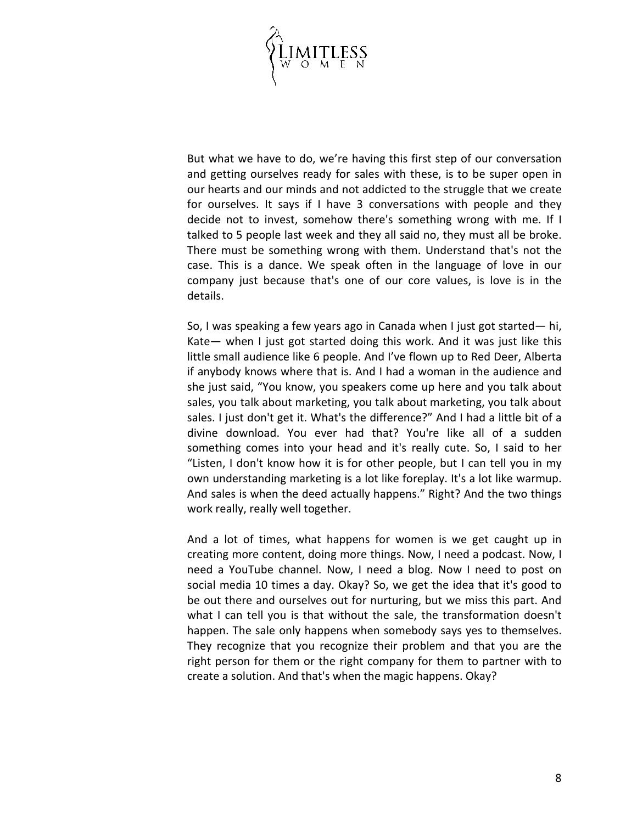

But what we have to do, we're having this first step of our conversation and getting ourselves ready for sales with these, is to be super open in our hearts and our minds and not addicted to the struggle that we create for ourselves. It says if I have 3 conversations with people and they decide not to invest, somehow there's something wrong with me. If I talked to 5 people last week and they all said no, they must all be broke. There must be something wrong with them. Understand that's not the case. This is a dance. We speak often in the language of love in our company just because that's one of our core values, is love is in the details.

So, I was speaking a few years ago in Canada when I just got started— hi, Kate— when I just got started doing this work. And it was just like this little small audience like 6 people. And I've flown up to Red Deer, Alberta if anybody knows where that is. And I had a woman in the audience and she just said, "You know, you speakers come up here and you talk about sales, you talk about marketing, you talk about marketing, you talk about sales. I just don't get it. What's the difference?" And I had a little bit of a divine download. You ever had that? You're like all of a sudden something comes into your head and it's really cute. So, I said to her "Listen, I don't know how it is for other people, but I can tell you in my own understanding marketing is a lot like foreplay. It's a lot like warmup. And sales is when the deed actually happens." Right? And the two things work really, really well together.

And a lot of times, what happens for women is we get caught up in creating more content, doing more things. Now, I need a podcast. Now, I need a YouTube channel. Now, I need a blog. Now I need to post on social media 10 times a day. Okay? So, we get the idea that it's good to be out there and ourselves out for nurturing, but we miss this part. And what I can tell you is that without the sale, the transformation doesn't happen. The sale only happens when somebody says yes to themselves. They recognize that you recognize their problem and that you are the right person for them or the right company for them to partner with to create a solution. And that's when the magic happens. Okay?